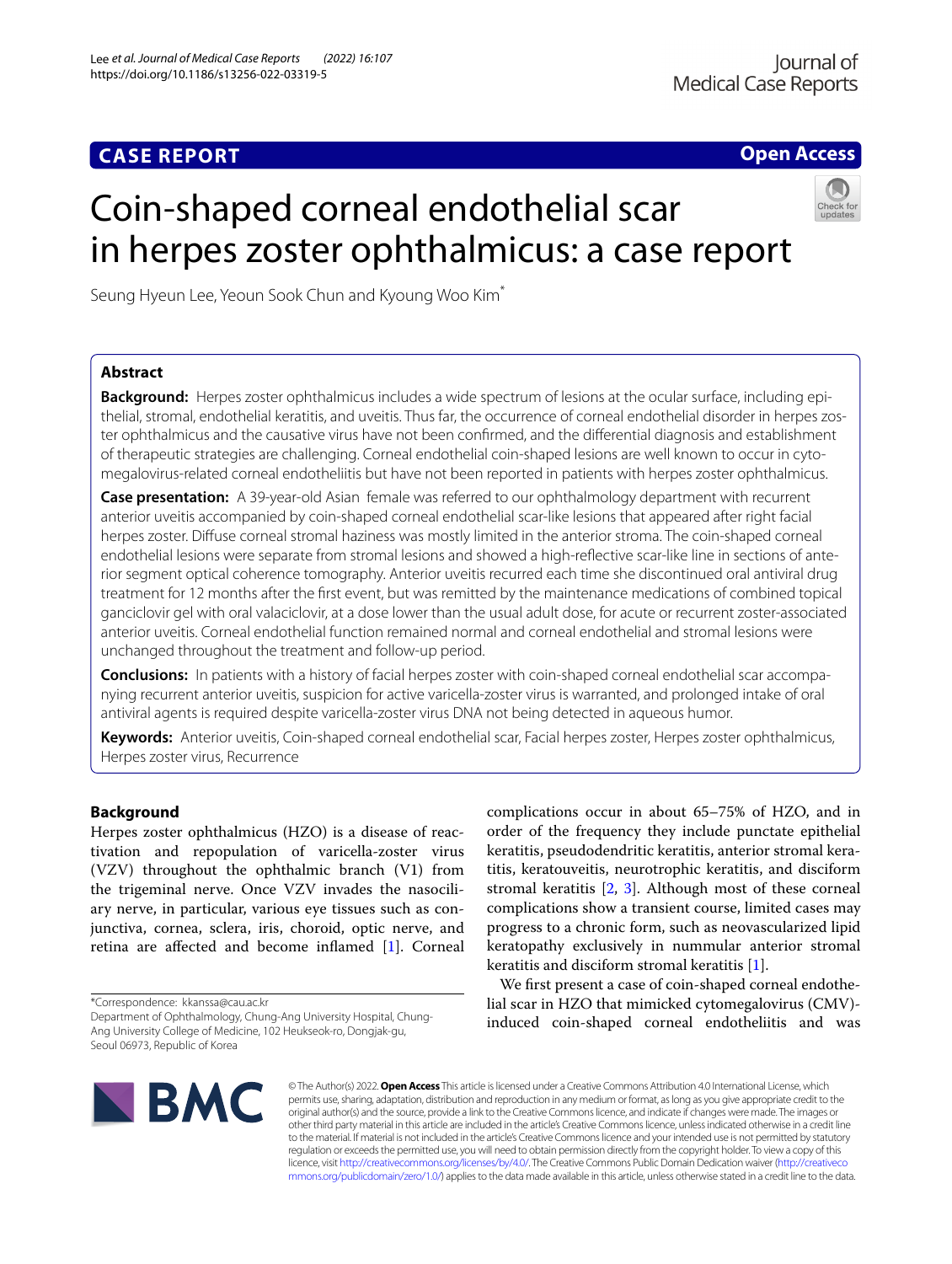## **CASE REPORT**

**Open Access**

# Coin-shaped corneal endothelial scar in herpes zoster ophthalmicus: a case report



Seung Hyeun Lee, Yeoun Sook Chun and Kyoung Woo Kim\*

## **Abstract**

**Background:** Herpes zoster ophthalmicus includes a wide spectrum of lesions at the ocular surface, including epithelial, stromal, endothelial keratitis, and uveitis. Thus far, the occurrence of corneal endothelial disorder in herpes zoster ophthalmicus and the causative virus have not been confrmed, and the diferential diagnosis and establishment of therapeutic strategies are challenging. Corneal endothelial coin-shaped lesions are well known to occur in cytomegalovirus-related corneal endotheliitis but have not been reported in patients with herpes zoster ophthalmicus.

**Case presentation:** A 39-year-old Asian female was referred to our ophthalmology department with recurrent anterior uveitis accompanied by coin-shaped corneal endothelial scar-like lesions that appeared after right facial herpes zoster. Difuse corneal stromal haziness was mostly limited in the anterior stroma. The coin-shaped corneal endothelial lesions were separate from stromal lesions and showed a high-refective scar-like line in sections of anterior segment optical coherence tomography. Anterior uveitis recurred each time she discontinued oral antiviral drug treatment for 12 months after the frst event, but was remitted by the maintenance medications of combined topical ganciclovir gel with oral valaciclovir, at a dose lower than the usual adult dose, for acute or recurrent zoster-associated anterior uveitis. Corneal endothelial function remained normal and corneal endothelial and stromal lesions were unchanged throughout the treatment and follow-up period.

**Conclusions:** In patients with a history of facial herpes zoster with coin-shaped corneal endothelial scar accompanying recurrent anterior uveitis, suspicion for active varicella-zoster virus is warranted, and prolonged intake of oral antiviral agents is required despite varicella-zoster virus DNA not being detected in aqueous humor.

**Keywords:** Anterior uveitis, Coin-shaped corneal endothelial scar, Facial herpes zoster, Herpes zoster ophthalmicus, Herpes zoster virus, Recurrence

### **Background**

Herpes zoster ophthalmicus (HZO) is a disease of reactivation and repopulation of varicella-zoster virus (VZV) throughout the ophthalmic branch (V1) from the trigeminal nerve. Once VZV invades the nasociliary nerve, in particular, various eye tissues such as conjunctiva, cornea, sclera, iris, choroid, optic nerve, and retina are afected and become infamed [\[1](#page-3-0)]. Corneal

\*Correspondence: kkanssa@cau.ac.kr

Department of Ophthalmology, Chung-Ang University Hospital, Chung-Ang University College of Medicine, 102 Heukseok-ro, Dongjak-gu, Seoul 06973, Republic of Korea

complications occur in about 65–75% of HZO, and in order of the frequency they include punctate epithelial keratitis, pseudodendritic keratitis, anterior stromal keratitis, keratouveitis, neurotrophic keratitis, and disciform stromal keratitis [[2](#page-3-1), [3](#page-3-2)]. Although most of these corneal complications show a transient course, limited cases may progress to a chronic form, such as neovascularized lipid keratopathy exclusively in nummular anterior stromal keratitis and disciform stromal keratitis [[1\]](#page-3-0).

We frst present a case of coin-shaped corneal endothelial scar in HZO that mimicked cytomegalovirus (CMV) induced coin-shaped corneal endotheliitis and was



© The Author(s) 2022. **Open Access** This article is licensed under a Creative Commons Attribution 4.0 International License, which permits use, sharing, adaptation, distribution and reproduction in any medium or format, as long as you give appropriate credit to the original author(s) and the source, provide a link to the Creative Commons licence, and indicate if changes were made. The images or other third party material in this article are included in the article's Creative Commons licence, unless indicated otherwise in a credit line to the material. If material is not included in the article's Creative Commons licence and your intended use is not permitted by statutory regulation or exceeds the permitted use, you will need to obtain permission directly from the copyright holder. To view a copy of this licence, visit [http://creativecommons.org/licenses/by/4.0/.](http://creativecommons.org/licenses/by/4.0/) The Creative Commons Public Domain Dedication waiver ([http://creativeco](http://creativecommons.org/publicdomain/zero/1.0/) [mmons.org/publicdomain/zero/1.0/](http://creativecommons.org/publicdomain/zero/1.0/)) applies to the data made available in this article, unless otherwise stated in a credit line to the data.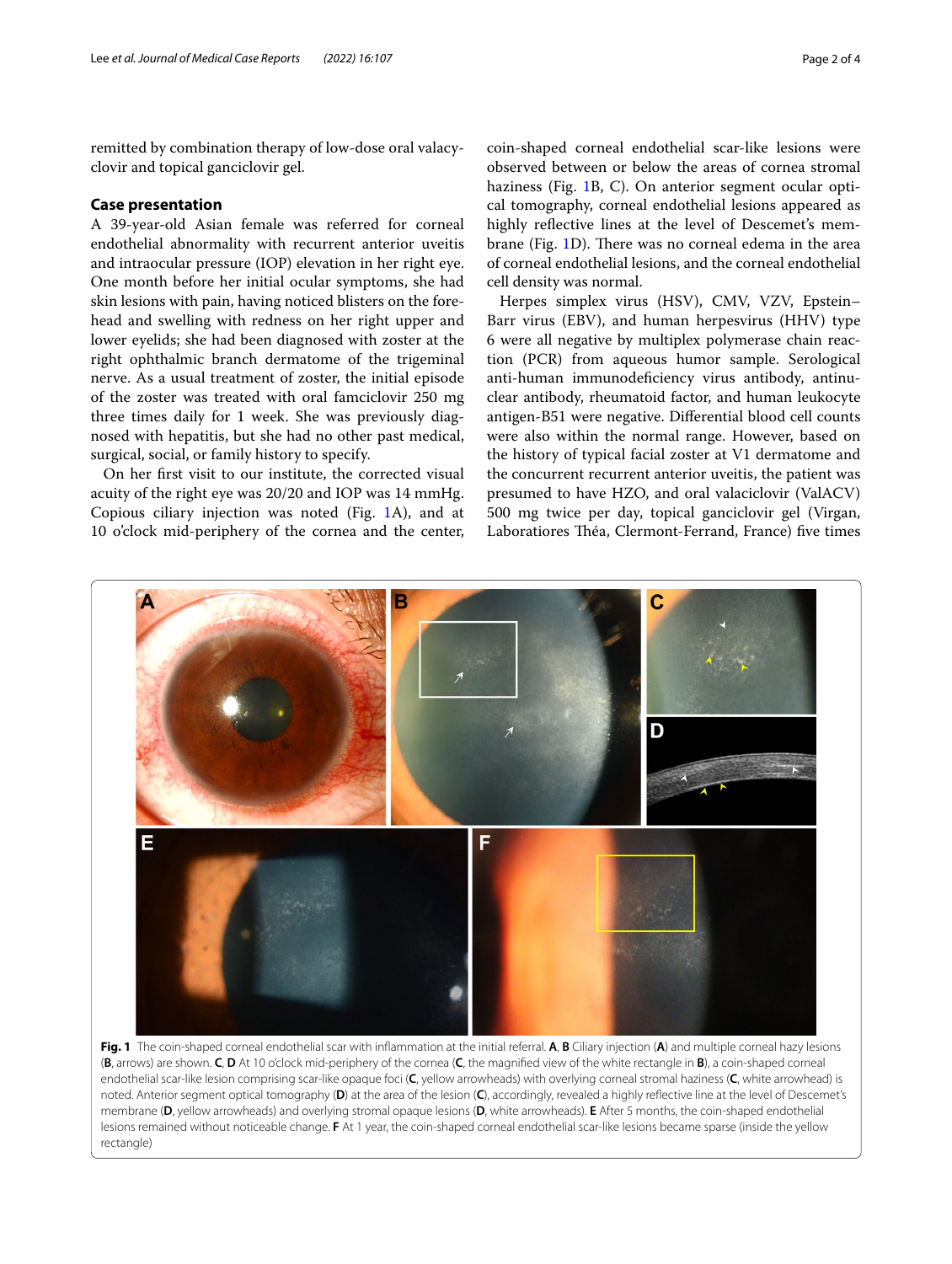remitted by combination therapy of low-dose oral valacyclovir and topical ganciclovir gel.

#### **Case presentation**

A 39-year-old Asian female was referred for corneal endothelial abnormality with recurrent anterior uveitis and intraocular pressure (IOP) elevation in her right eye. One month before her initial ocular symptoms, she had skin lesions with pain, having noticed blisters on the forehead and swelling with redness on her right upper and lower eyelids; she had been diagnosed with zoster at the right ophthalmic branch dermatome of the trigeminal nerve. As a usual treatment of zoster, the initial episode of the zoster was treated with oral famciclovir 250 mg three times daily for 1 week. She was previously diagnosed with hepatitis, but she had no other past medical, surgical, social, or family history to specify.

On her frst visit to our institute, the corrected visual acuity of the right eye was 20/20 and IOP was 14 mmHg. Copious ciliary injection was noted (Fig. [1](#page-1-0)A), and at 10 o'clock mid-periphery of the cornea and the center, coin-shaped corneal endothelial scar-like lesions were observed between or below the areas of cornea stromal haziness (Fig. [1B](#page-1-0), C). On anterior segment ocular optical tomography, corneal endothelial lesions appeared as highly refective lines at the level of Descemet's mem-brane (Fig. [1D](#page-1-0)). There was no corneal edema in the area of corneal endothelial lesions, and the corneal endothelial cell density was normal.

Herpes simplex virus (HSV), CMV, VZV, Epstein– Barr virus (EBV), and human herpesvirus (HHV) type 6 were all negative by multiplex polymerase chain reaction (PCR) from aqueous humor sample. Serological anti-human immunodefciency virus antibody, antinuclear antibody, rheumatoid factor, and human leukocyte antigen-B51 were negative. Diferential blood cell counts were also within the normal range. However, based on the history of typical facial zoster at V1 dermatome and the concurrent recurrent anterior uveitis, the patient was presumed to have HZO, and oral valaciclovir (ValACV) 500 mg twice per day, topical ganciclovir gel (Virgan, Laboratiores Théa, Clermont-Ferrand, France) five times



<span id="page-1-0"></span>(**B**, arrows) are shown. **C**, **D** At 10 o'clock mid-periphery of the cornea (**C**, the magnifed view of the white rectangle in **B**), a coin-shaped corneal endothelial scar-like lesion comprising scar-like opaque foci (**C**, yellow arrowheads) with overlying corneal stromal haziness (**C**, white arrowhead) is noted. Anterior segment optical tomography (**D**) at the area of the lesion (**C**), accordingly, revealed a highly refective line at the level of Descemet's membrane (**D**, yellow arrowheads) and overlying stromal opaque lesions (**D**, white arrowheads). **E** After 5 months, the coin-shaped endothelial lesions remained without noticeable change. **F** At 1 year, the coin-shaped corneal endothelial scar-like lesions became sparse (inside the yellow rectangle)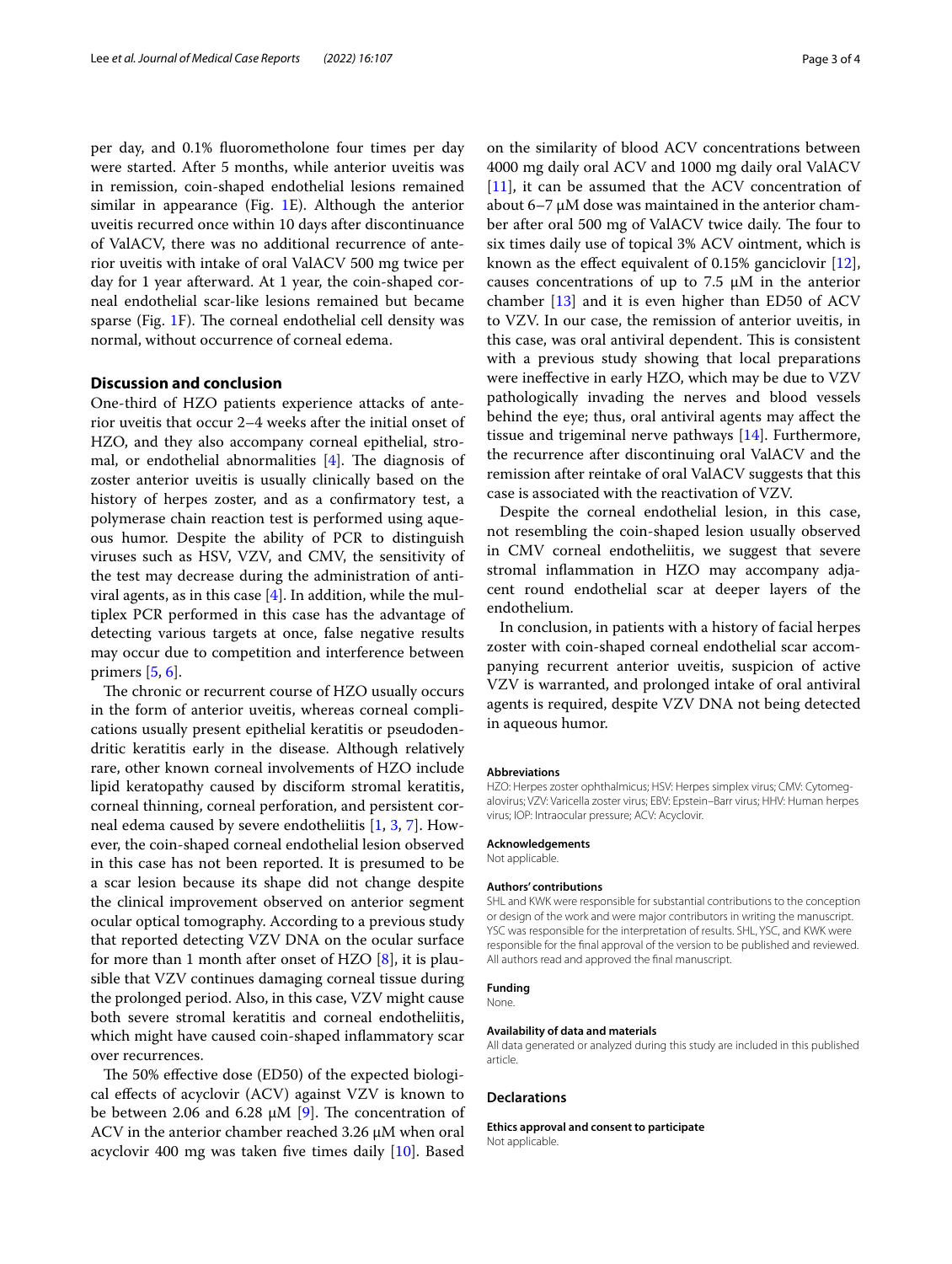per day, and 0.1% fuorometholone four times per day were started. After 5 months, while anterior uveitis was in remission, coin-shaped endothelial lesions remained similar in appearance (Fig. [1E](#page-1-0)). Although the anterior uveitis recurred once within 10 days after discontinuance of ValACV, there was no additional recurrence of anterior uveitis with intake of oral ValACV 500 mg twice per day for 1 year afterward. At 1 year, the coin-shaped corneal endothelial scar-like lesions remained but became sparse (Fig.  $1F$  $1F$ ). The corneal endothelial cell density was normal, without occurrence of corneal edema.

#### **Discussion and conclusion**

One-third of HZO patients experience attacks of anterior uveitis that occur 2–4 weeks after the initial onset of HZO, and they also accompany corneal epithelial, stromal, or endothelial abnormalities  $[4]$  $[4]$ . The diagnosis of zoster anterior uveitis is usually clinically based on the history of herpes zoster, and as a confrmatory test, a polymerase chain reaction test is performed using aqueous humor. Despite the ability of PCR to distinguish viruses such as HSV, VZV, and CMV, the sensitivity of the test may decrease during the administration of antiviral agents, as in this case  $[4]$  $[4]$ . In addition, while the multiplex PCR performed in this case has the advantage of detecting various targets at once, false negative results may occur due to competition and interference between primers [\[5](#page-3-4), [6\]](#page-3-5).

The chronic or recurrent course of HZO usually occurs in the form of anterior uveitis, whereas corneal complications usually present epithelial keratitis or pseudodendritic keratitis early in the disease. Although relatively rare, other known corneal involvements of HZO include lipid keratopathy caused by disciform stromal keratitis, corneal thinning, corneal perforation, and persistent corneal edema caused by severe endotheliitis [\[1](#page-3-0), [3](#page-3-2), [7](#page-3-6)]. However, the coin-shaped corneal endothelial lesion observed in this case has not been reported. It is presumed to be a scar lesion because its shape did not change despite the clinical improvement observed on anterior segment ocular optical tomography. According to a previous study that reported detecting VZV DNA on the ocular surface for more than 1 month after onset of HZO  $[8]$  $[8]$ , it is plausible that VZV continues damaging corneal tissue during the prolonged period. Also, in this case, VZV might cause both severe stromal keratitis and corneal endotheliitis, which might have caused coin-shaped infammatory scar over recurrences.

The 50% effective dose (ED50) of the expected biological efects of acyclovir (ACV) against VZV is known to be between 2.06 and 6.28  $\mu$ M [\[9\]](#page-3-8). The concentration of ACV in the anterior chamber reached 3.26 μM when oral acyclovir 400 mg was taken fve times daily [\[10](#page-3-9)]. Based

on the similarity of blood ACV concentrations between 4000 mg daily oral ACV and 1000 mg daily oral ValACV [[11\]](#page-3-10), it can be assumed that the ACV concentration of about 6–7 μM dose was maintained in the anterior chamber after oral 500 mg of ValACV twice daily. The four to six times daily use of topical 3% ACV ointment, which is known as the efect equivalent of 0.15% ganciclovir [\[12](#page-3-11)], causes concentrations of up to 7.5  $\mu$ M in the anterior chamber [[13\]](#page-3-12) and it is even higher than ED50 of ACV to VZV. In our case, the remission of anterior uveitis, in this case, was oral antiviral dependent. This is consistent with a previous study showing that local preparations were inefective in early HZO, which may be due to VZV pathologically invading the nerves and blood vessels behind the eye; thus, oral antiviral agents may afect the tissue and trigeminal nerve pathways [\[14](#page-3-13)]. Furthermore, the recurrence after discontinuing oral ValACV and the remission after reintake of oral ValACV suggests that this case is associated with the reactivation of VZV.

Despite the corneal endothelial lesion, in this case, not resembling the coin-shaped lesion usually observed in CMV corneal endotheliitis, we suggest that severe stromal infammation in HZO may accompany adjacent round endothelial scar at deeper layers of the endothelium.

In conclusion, in patients with a history of facial herpes zoster with coin-shaped corneal endothelial scar accompanying recurrent anterior uveitis, suspicion of active VZV is warranted, and prolonged intake of oral antiviral agents is required, despite VZV DNA not being detected in aqueous humor.

#### **Abbreviations**

HZO: Herpes zoster ophthalmicus; HSV: Herpes simplex virus; CMV: Cytomegalovirus; VZV: Varicella zoster virus; EBV: Epstein–Barr virus; HHV: Human herpes virus; IOP: Intraocular pressure; ACV: Acyclovir.

#### **Acknowledgements**

Not applicable.

#### **Authors' contributions**

SHL and KWK were responsible for substantial contributions to the conception or design of the work and were major contributors in writing the manuscript. YSC was responsible for the interpretation of results. SHL, YSC, and KWK were responsible for the fnal approval of the version to be published and reviewed. All authors read and approved the fnal manuscript.

#### **Funding**

None.

#### **Availability of data and materials**

All data generated or analyzed during this study are included in this published article.

#### **Declarations**

**Ethics approval and consent to participate** Not applicable.